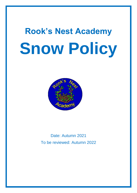# **Rook's Nest Academy Snow Policy**



Date: Autumn 2021 To be reviewed: Autumn 2022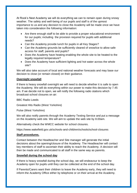At Rook's Nest Academy we will do everything we can to remain open during snowy weather. The safety and well-being of our pupils and staff is of the upmost importance to us and any decision to close the Academy will be made once we have taken into consideration the following information:

- Are there enough staff to be able to provide a proper educational environment for our pupils; including the provision required for pupils with additional needs?
- Can the Academy provide lunch for pupils in all Key Stages?
- Can the Academy grounds be sufficiently cleared of snow/ice to allow safe access for staff, parents and pupils?
- Does the Academy have heating enabling the whole site to be heated to the legally required temperature?
- Does the Academy have sufficient lighting and hot water across the whole site?

We will also take account of local and national weather forecasts and may base our decision to close (or remain closed) on their guidance.

# **Overnight snowfall**

If there is heavy snowfall overnight we will need to decide whether it is safe to open the Academy. We will do everything within our power to make this decision by 7.45 am. If we decide not to open, we will notify the following radio stations which broadcast school closures on air:

BBC Radio Leeds

Greatest Hits Radio (West Yorkshire)

Pulse (West Yorkshire)

We will also notify parents through the Academy Texting Service and put a message on the Academy web site. We will aim to update the web site by 8.00am.

Alternatively check the WMCC website for school closures.

https://www.wakefield.gov.uk/schools-and-children/schools/school-closures

### **Staff procedures.**

Contact between the Headteacher and Site manager will generate the initial decisions about the opening/closure of the Academy. The Headteacher will contact key members of staff to ascertain their ability to reach the Academy. A decision will then be made and communicated to all staff in the same way as parents.

### **Snowfall during the school day**

If there is heavy snowfall during the school day, we will endeavour to keep the Academy open for pupils until they can be collected at the end of the school day.

If Parents/Carers want their children to leave the Academy early, they will need to inform the Academy Office either by telephone or on their arrival at the Academy.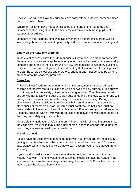However, we will not allow any pupil to leave early without a parent, carer or named person to collect them.

Where any children have not been collected at the end of the Academy day members of staff living close to the Academy will remain with those pupils until a parent/career arrives.

Members of the Academy staff who live in vulnerable geographical areas will be invited to go home at the safest opportunity, furthest distances to travel leaving first.

# **Safety on the Academy grounds**

In the event of heavy snow the Site Manager will try to ensure a clear pathway into the Academy so we can keep the Academy open. We will endeavour to clear and grit footpaths and areas of the playground to allow direct access to Academy buildings. However, in this time of litigation, it is worth noting that it would be almost impossible to clear the whole school site and therefore, gritted areas must be used by anyone entering onto the Academy premises.

# **Snow Play**

At Rook's Nest Academy we understand that the enjoyment that snow brings to children and believe that our pupils should be allowed to play outside during snowy conditions, as long as safety guidelines are being followed. The Headteacher will decide whether to allow the pupils to play outside during the snowy weather and will arrange for extra supervision on the playgrounds where necessary. During snow play, we will allow the children to make snowballs but they must not throw them at other pupils or members of staff. Children must not throw ice balls and must not make 'slides' in the snow or ice on the playground. Please send your children to the Academy dressed warmly with waterproof clothing, gloves and wellington boots so that they can safely enjoy snow play.

Please clearly mark your child's name on all boots (as with all clothing brought into the Academy). Your child may bring a pair of black shoes to change into during the day if they are wearing wellington/snow boots.

### **Planning ahead**

Please have the Academy telephone number with you. If you are having difficulty getting to the Academy to collect your child and you will be more than 15 minutes late, please call and let us know so that we can reassure your child that you are on your way.

If your child normally travels home alone after school, and because of the bad weather you want them to wait and be collected, please contact the Academy as soon as possible so that we can get a message to your child's Class Teacher before they release the class at home time.